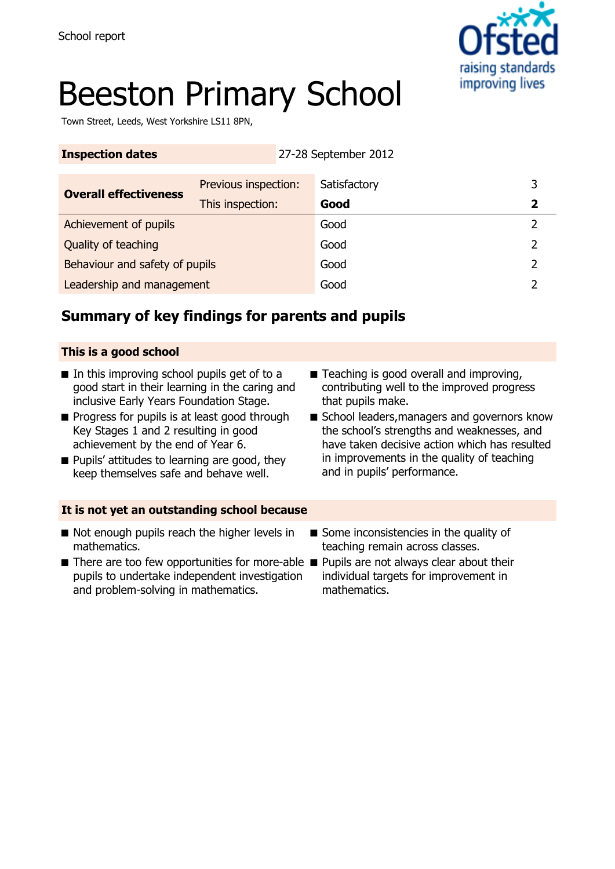

# Beeston Primary School

Town Street, Leeds, West Yorkshire LS11 8PN,

| <b>Inspection dates</b>        |                      | 27-28 September 2012 |   |
|--------------------------------|----------------------|----------------------|---|
| <b>Overall effectiveness</b>   | Previous inspection: | Satisfactory         | 3 |
|                                | This inspection:     | Good                 | 2 |
| Achievement of pupils          |                      | Good                 | 2 |
| Quality of teaching            |                      | Good                 | っ |
| Behaviour and safety of pupils |                      | Good                 | 2 |
| Leadership and management      |                      | Good                 |   |

# **Summary of key findings for parents and pupils**

#### **This is a good school**

- In this improving school pupils get of to a good start in their learning in the caring and inclusive Early Years Foundation Stage.
- Progress for pupils is at least good through Key Stages 1 and 2 resulting in good achievement by the end of Year 6.
- Pupils' attitudes to learning are good, they keep themselves safe and behave well.
- Teaching is good overall and improving, contributing well to the improved progress that pupils make.
- School leaders, managers and governors know the school's strengths and weaknesses, and have taken decisive action which has resulted in improvements in the quality of teaching and in pupils' performance.

#### **It is not yet an outstanding school because**

- Not enough pupils reach the higher levels in mathematics.
- There are too few opportunities for more-able Pupils are not always clear about their pupils to undertake independent investigation and problem-solving in mathematics.
- Some inconsistencies in the quality of teaching remain across classes.
	- individual targets for improvement in mathematics.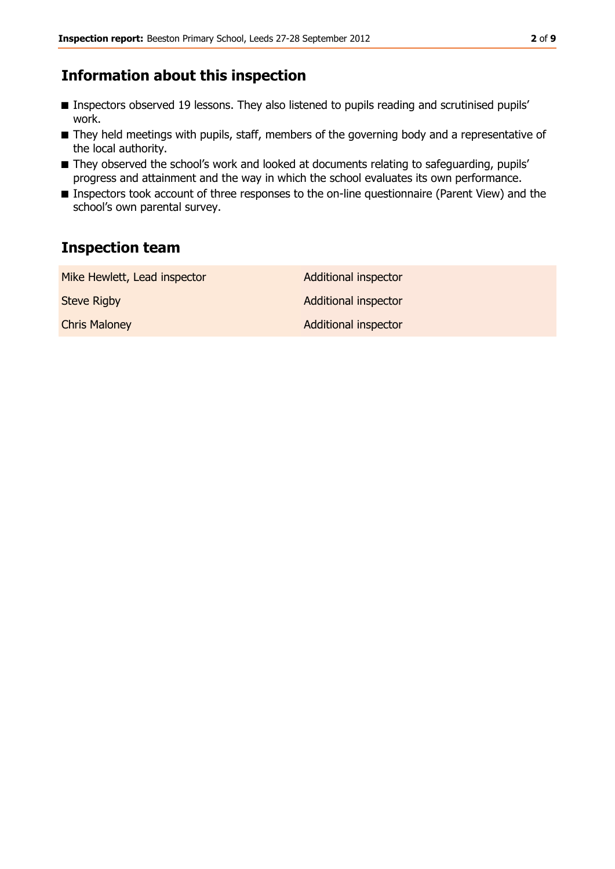### **Information about this inspection**

- Inspectors observed 19 lessons. They also listened to pupils reading and scrutinised pupils' work.
- They held meetings with pupils, staff, members of the governing body and a representative of the local authority.
- They observed the school's work and looked at documents relating to safeguarding, pupils' progress and attainment and the way in which the school evaluates its own performance.
- Inspectors took account of three responses to the on-line questionnaire (Parent View) and the school's own parental survey.

### **Inspection team**

| Mike Hewlett, Lead inspector | <b>Additional inspector</b> |
|------------------------------|-----------------------------|
| <b>Steve Rigby</b>           | <b>Additional inspector</b> |
| <b>Chris Maloney</b>         | <b>Additional inspector</b> |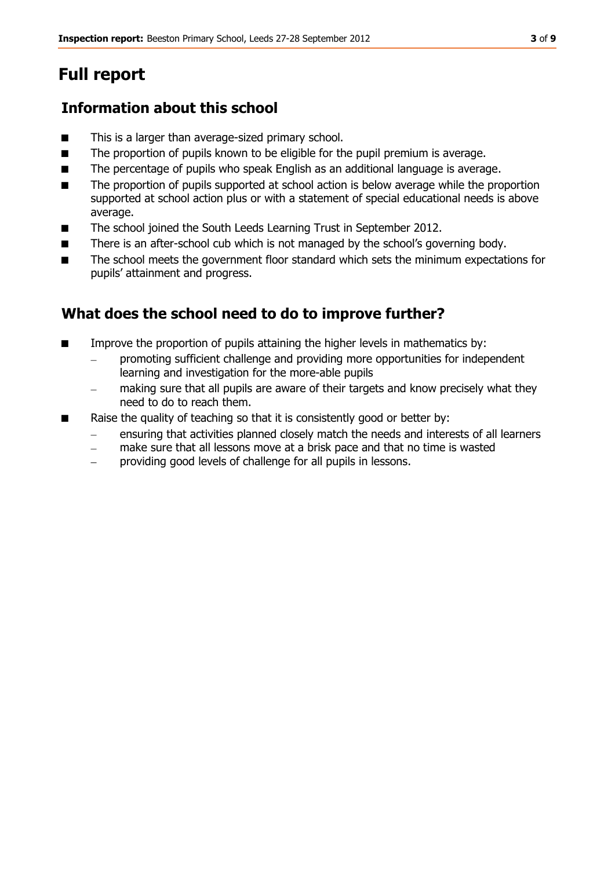# **Full report**

# **Information about this school**

- This is a larger than average-sized primary school.
- The proportion of pupils known to be eligible for the pupil premium is average.
- The percentage of pupils who speak English as an additional language is average.
- The proportion of pupils supported at school action is below average while the proportion supported at school action plus or with a statement of special educational needs is above average.
- The school joined the South Leeds Learning Trust in September 2012.
- There is an after-school cub which is not managed by the school's governing body.
- The school meets the government floor standard which sets the minimum expectations for pupils' attainment and progress.

# **What does the school need to do to improve further?**

- Improve the proportion of pupils attaining the higher levels in mathematics by:
	- promoting sufficient challenge and providing more opportunities for independent learning and investigation for the more-able pupils
	- making sure that all pupils are aware of their targets and know precisely what they need to do to reach them.
- Raise the quality of teaching so that it is consistently good or better by:
	- ensuring that activities planned closely match the needs and interests of all learners
	- make sure that all lessons move at a brisk pace and that no time is wasted  $\equiv$
	- providing good levels of challenge for all pupils in lessons.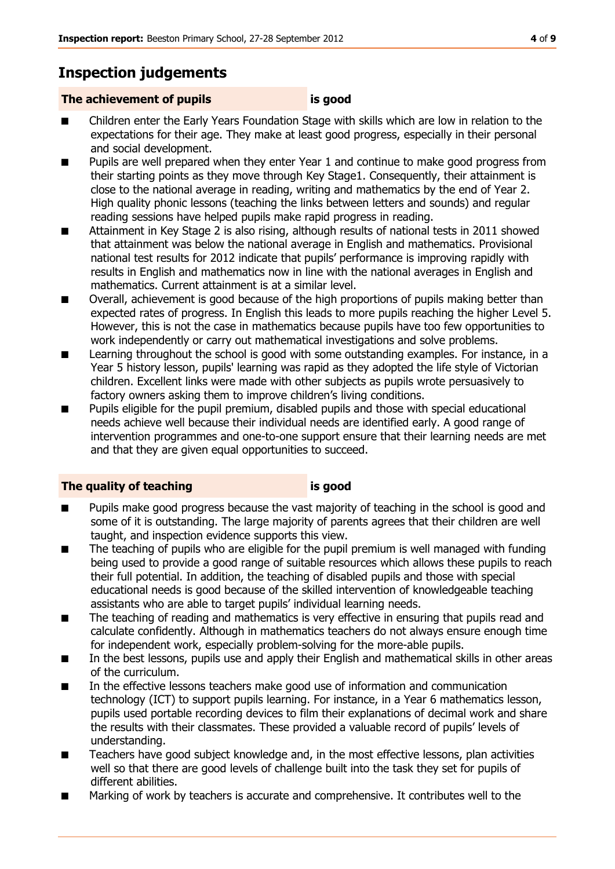# **Inspection judgements**

#### **The achievement of pupils is good**

- Children enter the Early Years Foundation Stage with skills which are low in relation to the expectations for their age. They make at least good progress, especially in their personal and social development.
- Pupils are well prepared when they enter Year 1 and continue to make good progress from their starting points as they move through Key Stage1. Consequently, their attainment is close to the national average in reading, writing and mathematics by the end of Year 2. High quality phonic lessons (teaching the links between letters and sounds) and regular reading sessions have helped pupils make rapid progress in reading.
- Attainment in Key Stage 2 is also rising, although results of national tests in 2011 showed that attainment was below the national average in English and mathematics. Provisional national test results for 2012 indicate that pupils' performance is improving rapidly with results in English and mathematics now in line with the national averages in English and mathematics. Current attainment is at a similar level.
- Overall, achievement is good because of the high proportions of pupils making better than expected rates of progress. In English this leads to more pupils reaching the higher Level 5. However, this is not the case in mathematics because pupils have too few opportunities to work independently or carry out mathematical investigations and solve problems.
- Learning throughout the school is good with some outstanding examples. For instance, in a Year 5 history lesson, pupils' learning was rapid as they adopted the life style of Victorian children. Excellent links were made with other subjects as pupils wrote persuasively to factory owners asking them to improve children's living conditions.
- Pupils eligible for the pupil premium, disabled pupils and those with special educational needs achieve well because their individual needs are identified early. A good range of intervention programmes and one-to-one support ensure that their learning needs are met and that they are given equal opportunities to succeed.

#### **The quality of teaching is good**

- Pupils make good progress because the vast majority of teaching in the school is good and some of it is outstanding. The large majority of parents agrees that their children are well taught, and inspection evidence supports this view.
- The teaching of pupils who are eligible for the pupil premium is well managed with funding being used to provide a good range of suitable resources which allows these pupils to reach their full potential. In addition, the teaching of disabled pupils and those with special educational needs is good because of the skilled intervention of knowledgeable teaching assistants who are able to target pupils' individual learning needs.
- The teaching of reading and mathematics is very effective in ensuring that pupils read and calculate confidently. Although in mathematics teachers do not always ensure enough time for independent work, especially problem-solving for the more-able pupils.
- In the best lessons, pupils use and apply their English and mathematical skills in other areas of the curriculum.
- In the effective lessons teachers make good use of information and communication technology (ICT) to support pupils learning. For instance, in a Year 6 mathematics lesson, pupils used portable recording devices to film their explanations of decimal work and share the results with their classmates. These provided a valuable record of pupils' levels of understanding.
- Teachers have good subject knowledge and, in the most effective lessons, plan activities well so that there are good levels of challenge built into the task they set for pupils of different abilities.
- Marking of work by teachers is accurate and comprehensive. It contributes well to the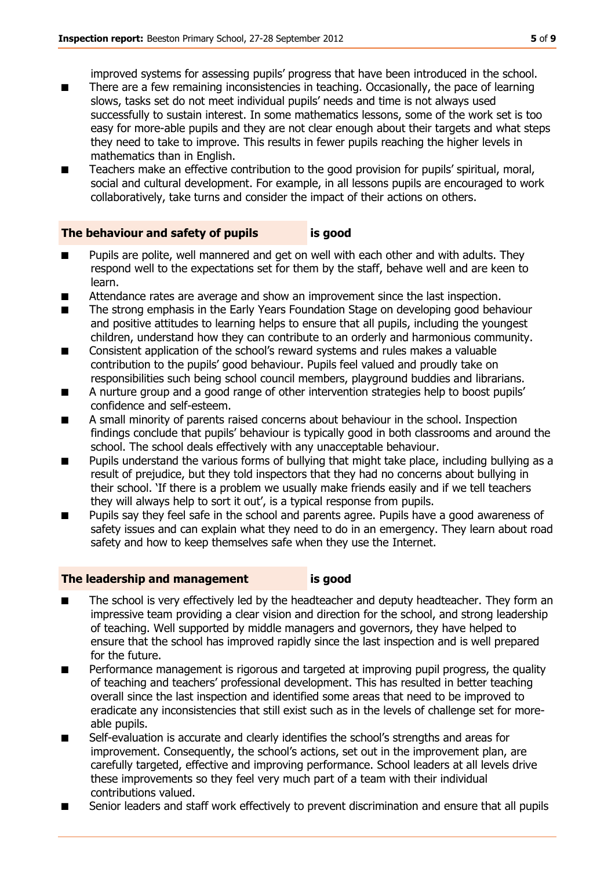improved systems for assessing pupils' progress that have been introduced in the school.

- There are a few remaining inconsistencies in teaching. Occasionally, the pace of learning slows, tasks set do not meet individual pupils' needs and time is not always used successfully to sustain interest. In some mathematics lessons, some of the work set is too easy for more-able pupils and they are not clear enough about their targets and what steps they need to take to improve. This results in fewer pupils reaching the higher levels in mathematics than in English.
- Teachers make an effective contribution to the good provision for pupils' spiritual, moral, social and cultural development. For example, in all lessons pupils are encouraged to work collaboratively, take turns and consider the impact of their actions on others.

#### **The behaviour and safety of pupils is good**

- Pupils are polite, well mannered and get on well with each other and with adults. They respond well to the expectations set for them by the staff, behave well and are keen to learn.
- Attendance rates are average and show an improvement since the last inspection.
- The strong emphasis in the Early Years Foundation Stage on developing good behaviour and positive attitudes to learning helps to ensure that all pupils, including the youngest children, understand how they can contribute to an orderly and harmonious community.
- Consistent application of the school's reward systems and rules makes a valuable contribution to the pupils' good behaviour. Pupils feel valued and proudly take on responsibilities such being school council members, playground buddies and librarians.
- A nurture group and a good range of other intervention strategies help to boost pupils' confidence and self-esteem.
- A small minority of parents raised concerns about behaviour in the school. Inspection findings conclude that pupils' behaviour is typically good in both classrooms and around the school. The school deals effectively with any unacceptable behaviour.
- Pupils understand the various forms of bullying that might take place, including bullying as a result of prejudice, but they told inspectors that they had no concerns about bullying in their school. 'If there is a problem we usually make friends easily and if we tell teachers they will always help to sort it out', is a typical response from pupils.
- Pupils say they feel safe in the school and parents agree. Pupils have a good awareness of safety issues and can explain what they need to do in an emergency. They learn about road safety and how to keep themselves safe when they use the Internet.

#### **The leadership and management is good**

- The school is very effectively led by the headteacher and deputy headteacher. They form an impressive team providing a clear vision and direction for the school, and strong leadership of teaching. Well supported by middle managers and governors, they have helped to ensure that the school has improved rapidly since the last inspection and is well prepared for the future.
- Performance management is rigorous and targeted at improving pupil progress, the quality of teaching and teachers' professional development. This has resulted in better teaching overall since the last inspection and identified some areas that need to be improved to eradicate any inconsistencies that still exist such as in the levels of challenge set for moreable pupils.
- Self-evaluation is accurate and clearly identifies the school's strengths and areas for improvement. Consequently, the school's actions, set out in the improvement plan, are carefully targeted, effective and improving performance. School leaders at all levels drive these improvements so they feel very much part of a team with their individual contributions valued.
- Senior leaders and staff work effectively to prevent discrimination and ensure that all pupils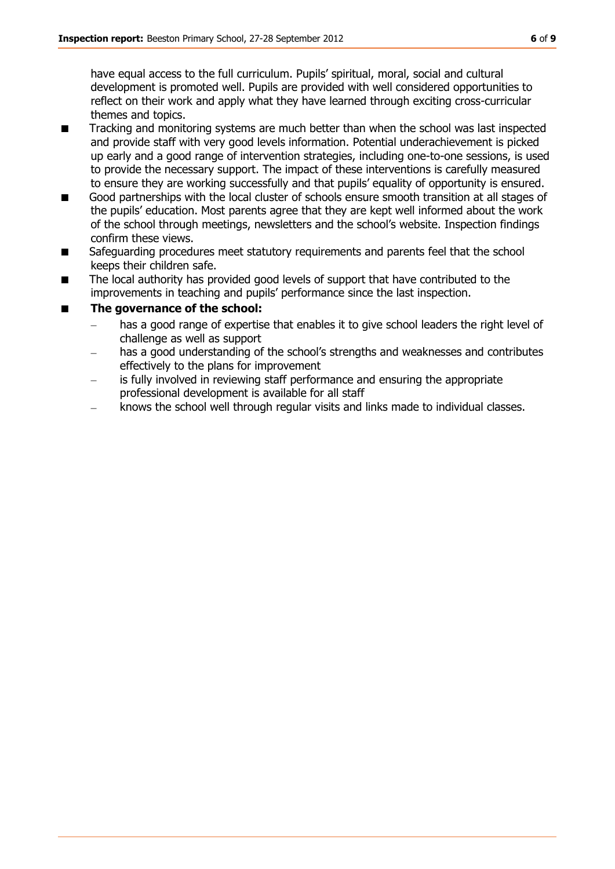have equal access to the full curriculum. Pupils' spiritual, moral, social and cultural development is promoted well. Pupils are provided with well considered opportunities to reflect on their work and apply what they have learned through exciting cross-curricular themes and topics.

- Tracking and monitoring systems are much better than when the school was last inspected and provide staff with very good levels information. Potential underachievement is picked up early and a good range of intervention strategies, including one-to-one sessions, is used to provide the necessary support. The impact of these interventions is carefully measured to ensure they are working successfully and that pupils' equality of opportunity is ensured.
- Good partnerships with the local cluster of schools ensure smooth transition at all stages of the pupils' education. Most parents agree that they are kept well informed about the work of the school through meetings, newsletters and the school's website. Inspection findings confirm these views.
- Safeguarding procedures meet statutory requirements and parents feel that the school keeps their children safe.
- The local authority has provided good levels of support that have contributed to the improvements in teaching and pupils' performance since the last inspection.

#### **The governance of the school:**

- has a good range of expertise that enables it to give school leaders the right level of challenge as well as support
- has a good understanding of the school's strengths and weaknesses and contributes effectively to the plans for improvement
- is fully involved in reviewing staff performance and ensuring the appropriate professional development is available for all staff
- knows the school well through regular visits and links made to individual classes.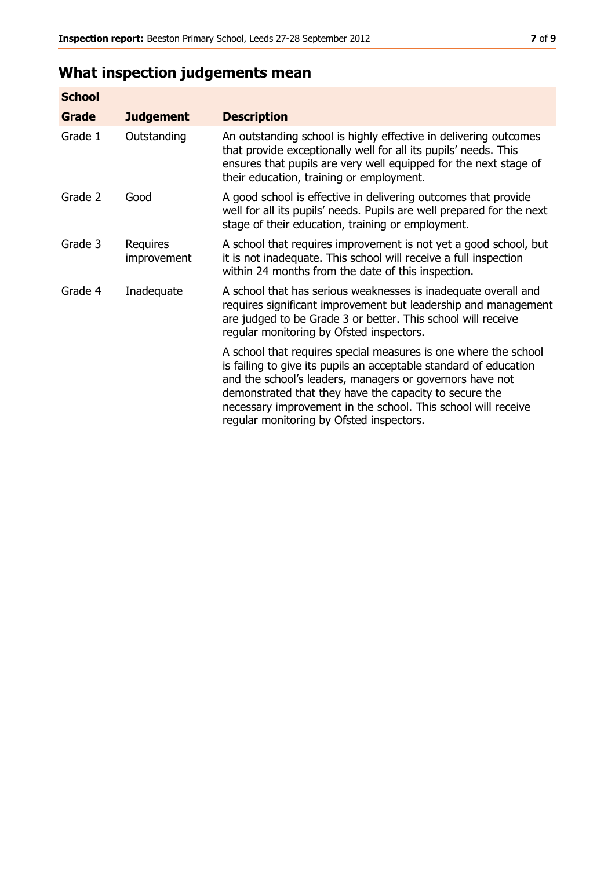# **What inspection judgements mean**

| <b>School</b> |                         |                                                                                                                                                                                                                                                                                                                                                                         |
|---------------|-------------------------|-------------------------------------------------------------------------------------------------------------------------------------------------------------------------------------------------------------------------------------------------------------------------------------------------------------------------------------------------------------------------|
| Grade         | <b>Judgement</b>        | <b>Description</b>                                                                                                                                                                                                                                                                                                                                                      |
| Grade 1       | Outstanding             | An outstanding school is highly effective in delivering outcomes<br>that provide exceptionally well for all its pupils' needs. This<br>ensures that pupils are very well equipped for the next stage of<br>their education, training or employment.                                                                                                                     |
| Grade 2       | Good                    | A good school is effective in delivering outcomes that provide<br>well for all its pupils' needs. Pupils are well prepared for the next<br>stage of their education, training or employment.                                                                                                                                                                            |
| Grade 3       | Requires<br>improvement | A school that requires improvement is not yet a good school, but<br>it is not inadequate. This school will receive a full inspection<br>within 24 months from the date of this inspection.                                                                                                                                                                              |
| Grade 4       | Inadequate              | A school that has serious weaknesses is inadequate overall and<br>requires significant improvement but leadership and management<br>are judged to be Grade 3 or better. This school will receive<br>regular monitoring by Ofsted inspectors.                                                                                                                            |
|               |                         | A school that requires special measures is one where the school<br>is failing to give its pupils an acceptable standard of education<br>and the school's leaders, managers or governors have not<br>demonstrated that they have the capacity to secure the<br>necessary improvement in the school. This school will receive<br>regular monitoring by Ofsted inspectors. |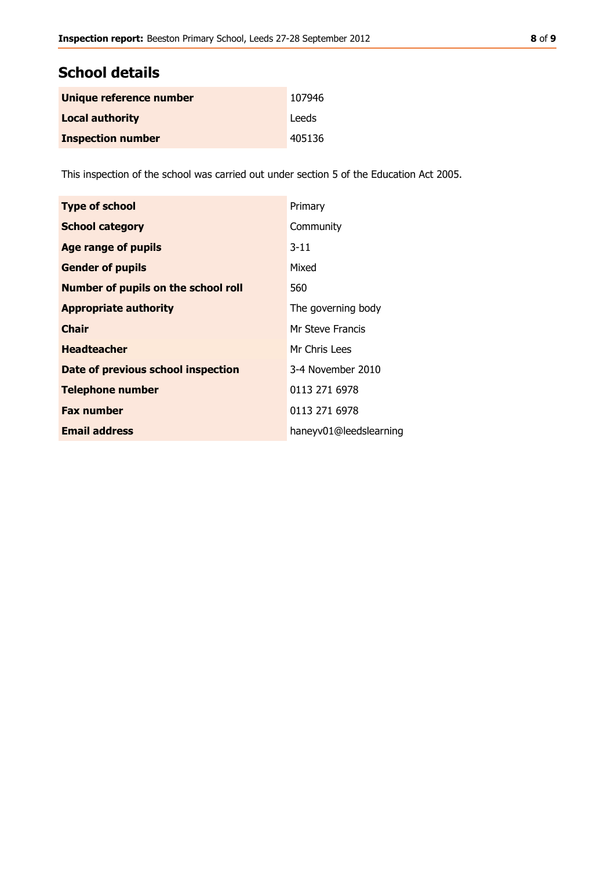## **School details**

| Unique reference number  | 107946 |
|--------------------------|--------|
| <b>Local authority</b>   | Leeds  |
| <b>Inspection number</b> | 405136 |

This inspection of the school was carried out under section 5 of the Education Act 2005.

| <b>Type of school</b>                      | Primary                |
|--------------------------------------------|------------------------|
| <b>School category</b>                     | Community              |
| <b>Age range of pupils</b>                 | $3 - 11$               |
| <b>Gender of pupils</b>                    | Mixed                  |
| <b>Number of pupils on the school roll</b> | 560                    |
| <b>Appropriate authority</b>               | The governing body     |
| <b>Chair</b>                               | Mr Steve Francis       |
| <b>Headteacher</b>                         | Mr Chris Lees          |
| Date of previous school inspection         | 3-4 November 2010      |
| <b>Telephone number</b>                    | 0113 271 6978          |
| <b>Fax number</b>                          | 0113 271 6978          |
| <b>Email address</b>                       | haneyv01@leedslearning |